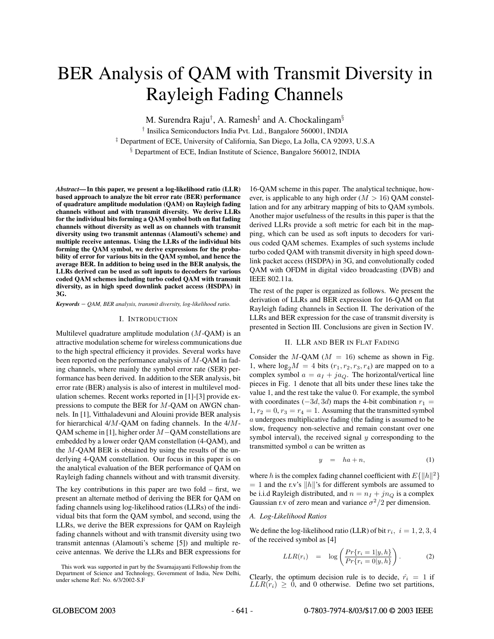# BER Analysis of QAM with Transmit Diversity in Rayleigh Fading Channels

M. Surendra Raju<sup>†</sup>, A. Ramesh<sup>‡</sup> and A. Chockalingam<sup>§</sup> <sup>†</sup> Insilica Semiconductors India Pvt. Ltd., Bangalore 560001, INDIA

<sup>‡</sup> Department of ECE, University of California, San Diego, La Jolla, CA 92093, U.S.A

§ Department of ECE, Indian Institute of Science, Bangalore 560012, INDIA

*Abstract***— In this paper, we present a log-likelihood ratio (LLR) based approach to analyze the bit error rate (BER) performance of quadrature amplitude modulation (QAM) on Rayleigh fading channels without and with transmit diversity. We derive LLRs for the individual bits forming a QAM symbol both on flat fading channels without diversity as well as on channels with transmit diversity using two transmit antennas (Alamouti's scheme) and multiple receive antennas. Using the LLRs of the individual bits forming the QAM symbol, we derive expressions for the probability of error for various bits in the QAM symbol, and hence the average BER. In addition to being used in the BER analysis, the LLRs derived can be used as soft inputs to decoders for various coded QAM schemes including turbo coded QAM with transmit diversity, as in high speed downlink packet access (HSDPA) in 3G.**

*Keywords* – *QAM, BER analysis, transmit diversity, log-likelihood ratio.*

### I. INTRODUCTION

Multilevel quadrature amplitude modulation  $(M-QAM)$  is an attractive modulation scheme for wireless communications due to the high spectral efficiency it provides. Several works have been reported on the performance analysis of M-QAM in fading channels, where mainly the symbol error rate (SER) performance has been derived. In addition to the SER analysis,bit error rate (BER) analysis is also of interest in multilevel modulation schemes. Recent works reported in [1]-[3] provide expressions to compute the BER for M-QAM on AWGN channels. In [1], Vitthaladevuni and Alouini provide BER analysis for hierarchical 4/M-QAM on fading channels. In the 4/M-OAM scheme in [1], higher order M−OAM constellations are embedded by a lower order QAM constellation (4-QAM), and the  $M$ -QAM BER is obtained by using the results of the underlying 4-QAM constellation. Our focus in this paper is on the analytical evaluation of the BER performance of QAM on Rayleigh fading channels without and with transmit diversity.

The key contributions in this paper are two fold  $-$  first, we present an alternate method of deriving the BER for QAM on fading channels using log-likelihood ratios (LLRs) of the individual bits that form the QAM symbol, and second, using the LLRs, we derive the BER expressions for QAM on Rayleigh fading channels without and with transmit diversity using two transmit antennas (Alamouti's scheme [5]) and multiple receive antennas. We derive the LLRs and BER expressions for

16-QAM scheme in this paper. The analytical technique, however, is applicable to any high order  $(M > 16)$  OAM constellation and for any arbitrary mapping of bits to QAM symbols. Another major usefulness of the results in this paper is that the derived LLRs provide a soft metric for each bit in the mapping, which can be used as soft inputs to decoders for various coded QAM schemes. Examples of such systems include turbo coded QAM with transmit diversity in high speed downlink packet access (HSDPA) in 3G, and convolutionally coded QAM with OFDM in digital video broadcasting (DVB) and IEEE 802.11a.

The rest of the paper is organized as follows. We present the derivation of LLRs and BER expression for 16-QAM on flat Rayleigh fading channels in Section II. The derivation of the LLRs and BER expression for the case of transmit diversity is presented in Section III. Conclusions are given in Section IV.

### II. LLR AND BER IN FLAT FADING

Consider the M-QAM ( $M = 16$ ) scheme as shown in Fig. 1, where  $log_2 M = 4$  bits  $(r_1, r_2, r_3, r_4)$  are mapped on to a complex symbol  $a = a_I + ja_O$ . The horizontal/vertical line pieces in Fig. 1 denote that all bits under these lines take the value 1, and the rest take the value 0. For example, the symbol with coordinates  $(-3d, 3d)$  maps the 4-bit combination  $r_1 =$  $1, r_2 = 0, r_3 = r_4 = 1$ . Assuming that the transmitted symbol a undergoes multiplicative fading (the fading is assumed to be slow, frequency non-selective and remain constant over one symbol interval), the received signal  $y$  corresponding to the transmitted symbol  $a$  can be written as

$$
y = ha + n,\tag{1}
$$

where h is the complex fading channel coefficient with  $E\{\Vert h\Vert^2\}$  $= 1$  and the r.v's ||h||'s for different symbols are assumed to be i.i.d Rayleigh distributed, and  $n = n_I + j n_O$  is a complex Gaussian r.v of zero mean and variance  $\sigma^2/2$  per dimension.

### *A. Log-Likelihood Ratios*

We define the log-likelihood ratio (LLR) of bit  $r_i$ ,  $i = 1, 2, 3, 4$ of the received symbol as [4]

$$
LLR(r_i) = \log\left(\frac{Pr\{r_i = 1 | y, h\}}{Pr\{r_i = 0 | y, h\}}\right). \tag{2}
$$

Clearly, the optimum decision rule is to decide,  $\hat{r_i} = 1$  if  $LLR(r_i) \geq 0$ , and 0 otherwise. Define two set partitions,

This work was supported in part by the Swarnajayanti Fellowship from the Department of Science and Technology, Government of India, New Delhi, under scheme Ref: No. 6/3/2002-S.F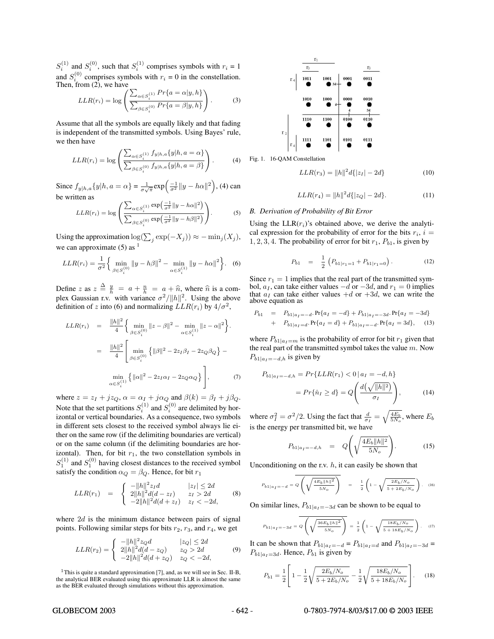$S_i^{(1)}$  and  $S_i^{(0)}$ , such that  $S_i^{(1)}$  comprises symbols with  $r_i = 1$ and  $S_i^{(0)}$  comprises symbols with  $r_i = 0$  in the constellation. Then, from  $(2)$ , we have

$$
LLR(r_i) = \log \left( \frac{\sum_{\alpha \in S_i^{(1)}} Pr\{a = \alpha | y, h\}}{\sum_{\beta \in S_i^{(0)}} Pr\{a = \beta | y, h\}} \right).
$$
 (3)

Assume that all the symbols are equally likely and that fading is independent of the transmitted symbols. Using Bayes' rule, we then have

$$
LLR(r_i) = \log \left( \frac{\sum_{\alpha \in S_i^{(1)}} f_{y|h,a}\{y|h,a = \alpha\}}{\sum_{\beta \in S_i^{(0)}} f_{y|h,a}\{y|h,a = \beta\}} \right).
$$
 (4)

Since  $f_{y|h,a}{y|h, a = \alpha} = \frac{1}{\sigma\sqrt{\pi}} \exp\left(\frac{-1}{\sigma^2} ||y - h\alpha||^2\right)$ , (4) can be written as

$$
LLR(r_i) = \log \left( \frac{\sum_{\alpha \in S_i^{(1)}} \exp\left(\frac{-1}{\sigma^2} ||y - h\alpha||^2\right)}{\sum_{\beta \in S_i^{(0)}} \exp\left(\frac{-1}{\sigma^2} ||y - h\beta||^2\right)} \right).
$$
 (5)

Using the approximation log( $\sum_j \exp(-X_j)$ ) ≈ − min<sub>j</sub>( $X_j$ ), we can approximate  $(5)$  as <sup>1</sup>

$$
LLR(r_i) = \frac{1}{\sigma^2} \left\{ \min_{\beta \in S_i^{(0)}} ||y - h\beta||^2 - \min_{\alpha \in S_i^{(1)}} ||y - h\alpha||^2 \right\}.
$$
 (6)

Define z as  $z \stackrel{\Delta}{=} \frac{y}{h} = a + \frac{n}{h} = a + \hat{n}$ , where  $\hat{n}$  is a com-<br>play Gaussian ry with variance  $\sigma^2 / ||h||^2$ . Heing the above plex Gaussian r.v. with variance  $\sigma^2/||h||^2$ . Using the above definition of z into (6) and normalizing  $LLR(r_i)$  by  $4/\sigma^2$ ,

$$
LLR(r_i) = \frac{\|h\|^2}{4} \left\{ \min_{\beta \in S_i^{(0)}} \|z - \beta\|^2 - \min_{\alpha \in S_i^{(1)}} \|z - \alpha\|^2 \right\}.
$$
  

$$
= \frac{\|h\|^2}{4} \left[ \min_{\beta \in S_i^{(0)}} \left\{ \|\beta\|^2 - 2z_I \beta_I - 2z_Q \beta_Q \right\} - \min_{\alpha \in S_i^{(1)}} \left\{ \|\alpha\|^2 - 2z_I \alpha_I - 2z_Q \alpha_Q \right\} \right],
$$
 (7)

where  $z = z_I + jz_Q$ ,  $\alpha = \alpha_I + j\alpha_Q$  and  $\beta(k) = \beta_I + j\beta_Q$ .<br>Note that the set partitions  $S_i^{(1)}$  and  $S_i^{(0)}$  are delimited by horizontal or vertical boundaries. As a consequence, two symbols in different sets closest to the received symbol always lie either on the same row (if the delimiting boundaries are vertical) or on the same column (if the delimiting boundaries are horizontal). Then, for bit  $r_1$ , the two constellation symbols in  $S_1^{(1)}$  and  $S_1^{(0)}$  having closest distances to the received symbol satisfy the condition  $\alpha_Q = \beta_Q$ . Hence, for bit  $r_1$ 

$$
LLR(r_1) = \begin{cases} -||h||^2 z_I d & |z_I| \le 2d \\ 2||h||^2 d(d-z_I) & z_I > 2d \\ -2||h||^2 d(d+z_I) & z_I < -2d, \end{cases}
$$
 (8)

where  $2d$  is the minimum distance between pairs of signal points. Following similar steps for bits  $r_2$ ,  $r_3$ , and  $r_4$ , we get

$$
LLR(r_2) = \begin{cases} \n-||h||^2 z_Q d & |z_Q| \le 2d \\
2||h||^2 d(d - z_Q) & z_Q > 2d \\
-2||h||^2 d(d + z_Q) & z_Q < -2d,\n\end{cases}
$$
\n(9)



Fig. 1. 16-QAM Constellation

$$
LLR(r_3) = ||h||^2 d\{|z_I| - 2d\}
$$
 (10)

$$
LLR(r_4) = ||h||^2 d\{|z_Q| - 2d\}.
$$
 (11)

## *B. Derivation of Probability of Bit Error*

Using the  $LLR(r_i)$ 's obtained above, we derive the analytical expression for the probability of error for the bits  $r_i$ ,  $i =$ 1, 2, 3, 4. The probability of error for bit  $r_1$ ,  $P_{b1}$ , is given by

$$
P_{b1} = \frac{1}{2} \left( P_{b1|r_1=1} + P_{b1|r_1=0} \right). \tag{12}
$$

Since  $r_1 = 1$  implies that the real part of the transmitted symbol,  $a_I$ , can take either values  $-d$  or  $-3d$ , and  $r_1 = 0$  implies that  $a_I$  can take either values  $+d$  or  $+3d$ , we can write the above equation as

$$
P_{b1} = P_{b1|a_I = -d} \cdot \Pr\{a_I = -d\} + P_{b1|a_I = -3d} \cdot \Pr\{a_I = -3d\}
$$
  
+ 
$$
P_{b1|a_I = d} \cdot \Pr\{a_I = d\} + P_{b1|a_I = -d} \cdot \Pr\{a_I = 3d\}, \quad (13)
$$

where  $P_{b1|a_1=m}$  is the probability of error for bit  $r_1$  given that the real part of the transmitted symbol takes the value  $m$ . Now  $P_{b1|a_1=-d,h}$  is given by

$$
P_{b1|a_I = -d,h} = Pr\{LLR(r_1) < 0 \mid a_I = -d,h\}
$$
\n
$$
= Pr\{\hat{n}_I \geq d\} = Q\left(\frac{d\left(\sqrt{\|h\|^2}\right)}{\sigma_I}\right),\tag{14}
$$

where  $\sigma_I^2 = \sigma^2/2$ . Using the fact that  $\frac{d}{\sigma_I} =$  $\sqrt{\frac{4E_b}{5N_o}}$ , where  $E_b$ is the energy per transmitted bit, we have

$$
P_{b1|a_I = -d,h} = Q\left(\sqrt{\frac{4E_b||h||^2}{5N_o}}\right).
$$
 (15)

Unconditioning on the r.v.  $h$ , it can easily be shown that

$$
P_{b1|a} = -d = Q\left(\sqrt{\frac{4E_b||h||^2}{5N_o}}\right) = \frac{1}{2}\left(1 - \sqrt{\frac{2E_b/N_o}{5 + 2E_b/N_o}}\right). (16)
$$

On similar lines,  $P_{b1|a_I=-3d}$  can be shown to be equal to

$$
P_{b1|a} = -3d = Q\left(\sqrt{\frac{36E_b||h||^2}{5N_o}}\right) = \frac{1}{2}\left(1 - \sqrt{\frac{18E_b/N_o}{5 + 18E_b/N_o}}\right). \quad (17)
$$

It can be shown that  $P_{b1|a_I=-d} = P_{b1|a_I=d}$  and  $P_{b1|a_I=-3d}$  =  $P_{b1|a_1=3d}$ . Hence,  $P_{b1}$  is given by

$$
P_{b1} = \frac{1}{2} \left[ 1 - \frac{1}{2} \sqrt{\frac{2E_b/N_o}{5 + 2E_b/N_o}} - \frac{1}{2} \sqrt{\frac{18E_b/N_o}{5 + 18E_b/N_o}} \right].
$$
 (18)

### GLOBECOM 2003 - 642 - 0-7803-7974-8/03/\$17.00 © 2003 IEEE

<sup>&</sup>lt;sup>1</sup>This is quite a standard approximation [7], and, as we will see in Sec. II-B, the analytical BER evaluated using this approximate LLR is almost the same as the BER evaluated through simulations without this approximation.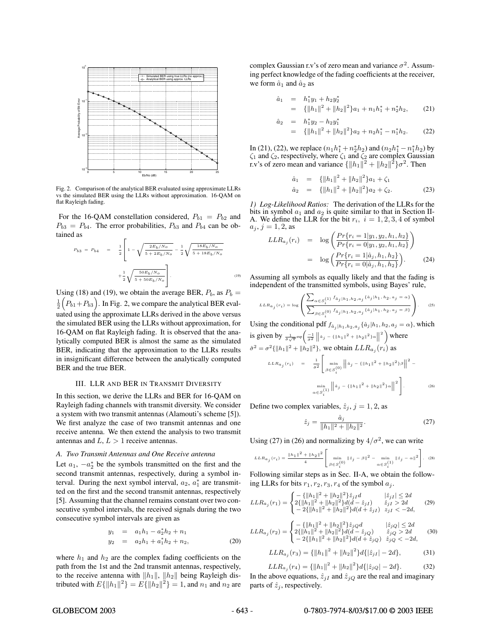

Fig. 2. Comparison of the analytical BER evaluated using approximate LLRs vs the simulated BER using the LLRs without approximation. 16-QAM on flat Rayleigh fading.

For the 16-QAM constellation considered,  $P_{b1} = P_{b2}$  and  $P_{b3} = P_{b4}$ . The error probabilities,  $P_{b3}$  and  $P_{b4}$  can be obtained as

$$
P_{b3} = P_{b4} = \frac{1}{2} \left[ 1 - \sqrt{\frac{2E_b/N_o}{5 + 2E_b/N_o}} - \frac{1}{2} \sqrt{\frac{18E_b/N_o}{5 + 18E_b/N_o}} + \frac{1}{2} \sqrt{\frac{50E_b/N_o}{5 + 50E_b/N_o}} \right].
$$
\n(19)

Using (18) and (19), we obtain the average BER,  $P_b$ , as  $P_b$  =  $\frac{1}{2}$  $\left(P_{b1}+P_{b3}\right)$ . In Fig. 2, we compare the analytical BER evaluated using the approximate LLRs derived in the above versus the simulated BER using the LLRs without approximation, for 16-QAM on flat Rayleigh fading. It is observed that the analytically computed BER is almost the same as the simulated BER, indicating that the approximation to the LLRs results in insignificant difference between the analytically computed BER and the true BER.

# III. LLR AND BER IN TRANSMIT DIVERSITY

In this section, we derive the LLRs and BER for 16-OAM on Rayleigh fading channels with transmit diversity. We consider a system with two transmit antennas (Alamouti's scheme [5]). We first analyze the case of two transmit antennas and one receive antenna. We then extend the analysis to two transmit antennas and  $L, L > 1$  receive antennas.

### *A. Two Transmit Antennas and One Receive antenna*

Let  $a_1$ ,  $-a_2^*$  be the symbols transmitted on the first and the second transmit antennas, respectively, during a symbol interval. During the next symbol interval,  $a_2$ ,  $a_1^*$  are transmitted on the first and the second transmit antennas, respectively [5]. Assuming that the channel remains constant over two consecutive symbol intervals, the received signals during the two consecutive symbol intervals are given as

$$
y_1 = a_1h_1 - a_2^*h_2 + n_1
$$
  
\n
$$
y_2 = a_2h_1 + a_1^*h_2 + n_2,
$$
\n(20)

where  $h_1$  and  $h_2$  are the complex fading coefficients on the path from the 1st and the 2nd transmit antennas, respectively, to the receive antenna with  $||h_1||$ ,  $||h_2||$  being Rayleigh distributed with  $E\{\|h_1\|^2\} = E\{\|h_2\|^2\} = 1$ , and  $n_1$  and  $n_2$  are complex Gaussian r.v's of zero mean and variance  $\sigma^2$ . Assuming perfect knowledge of the fading coefficients at the receiver, we form  $\hat{a}_1$  and  $\hat{a}_2$  as

$$
\begin{array}{rcl}\n\hat{a}_1 & = & h_1^* y_1 + h_2 y_2^* \\
& = & \left\{ \left\| h_1 \right\|^2 + \left\| h_2 \right\|^2 \right\} a_1 + n_1 h_1^* + n_2^* h_2,\n\end{array}\n\tag{21}
$$

$$
\begin{array}{rcl}\n\hat{a}_2 & = & h_1^* y_2 - h_2 y_1^* \\
& = & \left\{ \left\| h_1 \right\|^2 + \left\| h_2 \right\|^2 \right\} a_2 + n_2 h_1^* - n_1^* h_2.\n\end{array}\n\tag{22}
$$

In (21), (22), we replace  $(n_1h_1^* + n_2^*h_2)$  and  $(n_2h_1^* - n_1^*h_2)$  by  $\zeta_1$  and  $\zeta_2$ , respectively, where  $\zeta_1$  and  $\zeta_2$  are complex Gaussian  $\zeta_1$  and  $\zeta_2$ , respectively, where  $\zeta_1$  and  $\zeta_2$  are complex Gaussian r.v's of zero mean and variance  $\{\Vert h_1 \Vert^2 + \Vert h_2 \Vert^2\} \sigma^2$ . Then

$$
\hat{a}_1 = {\|h_1\|^2 + \|h_2\|^2} a_1 + \zeta_1 \n\hat{a}_2 = {\|h_1\|^2 + \|h_2\|^2} a_2 + \zeta_2.
$$
\n(23)

*1) Log-Likelihood Ratios:* The derivation of the LLRs for the bits in symbol  $a_1$  and  $a_2$  is quite similar to that in Section II-A. We define the LLR for the bit  $r_i$ ,  $i = 1, 2, 3, 4$  of symbol  $a_j$ ,  $j = 1, 2$ , as<br>  $LLR_{a_i}(r_i) = \log \left( \frac{Pr\{r_i = 1 | y_1, y_2, h_1, h_2\}}{Pr\{r_i = 1 | y_1, y_2, h_2, h_3\}} \right)$ 

$$
LLR_{a_j}(r_i) = \log\left(\frac{Pr\{r_i = 1|y_1, y_2, h_1, h_2\}}{Pr\{r_i = 0|y_1, y_2, h_1, h_2\}}\right)
$$
  
= 
$$
\log\left(\frac{Pr\{r_i = 1|\hat{a}_j, h_1, h_2\}}{Pr\{r_i = 0|\hat{a}_j, h_1, h_2\}}\right).
$$
 (24)

Assuming all symbols as equally likely and that the fading is independent of the transmitted symbols, using Bayes' rule,

$$
LLR_{a_{\hat{j}}}(r_i) = \log\left(\frac{\displaystyle\sum_{\alpha \in S_{\hat{i}}^{\{1\}}}\,f_{\hat{a}_{\hat{j}}\,|\,h_1, h_2, a_{\hat{j}}\,\{\hat{a}_{\hat{j}}\,|\,h_1, h_2, a_{\hat{j}}\,=\,\alpha\}}{\displaystyle\sum_{\beta \in S_{\hat{i}}^{\{0\}}}\,f_{\hat{a}_{\hat{j}}\,|\,h_1, h_2, a_{\hat{j}}\,\{\hat{a}_{\hat{j}}\,|\,h_1, h_2, a_{\hat{j}}\,=\,\beta\}}}\right).\quad \ \ \textrm{(25)}
$$

Using the conditional pdf  $f_{\hat{a}_j | h_1, h_2, a_j}$  { $\hat{a}_j | h_1, h_2, a_j = \alpha$ }, which is given by  $\frac{1}{\sigma \sqrt{\pi}} \exp \left( \frac{-1}{\sigma^2} \left\| \hat{a}_j - \left\{ \|h_1\|^2 + \|h_2\|^2 \right\} \alpha \right\|^2 \right)$  where

$$
\hat{\sigma}^2 = \sigma^2 \{ ||h_1||^2 + ||h_2||^2 \}, \text{ we obtain } LLR_{a_j}(r_i) \text{ as}
$$
  

$$
LLR_{a_j}(r_i) = \frac{1}{\hat{\sigma}^2} \left[ \min_{\beta \in S_i^{(0)}} ||a_j - (||h_1||^2 + ||h_2||^2)\beta ||^2 - \min_{\alpha \in S_i^{(1)}} ||a_j - (||h_1||^2 + ||h_2||^2)\alpha ||^2 \right].
$$
 (26)

Define two complex variables,  $\hat{z}_i$ ,  $j = 1, 2$ , as

$$
\hat{z}_j = \frac{\hat{a}_j}{\|h_1\|^2 + \|h_2\|^2}.
$$
\n(27)

Using (27) in (26) and normalizing by  $4/\sigma^2$ , we can write

$$
LLR_{a_j}(r_i) = \frac{\|h_1\|^2 + \|h_2\|^2}{4} \left[ \min_{\beta \in S_i^{\{0\}}} \left\| \hat{z}_j - \beta \right\|^2 - \min_{\alpha \in S_i^{\{1\}}} \left\| \hat{z}_j - \alpha \right\|^2 \right].
$$
 (28)

Following similar steps as in Sec. II-A, we obtain the following LLRs for bits  $r_1, r_2, r_3, r_4$  of the symbol  $a_j$ .

$$
LLR_{a_j}(r_1) = \begin{cases} -\{||h_1||^2 + ||h_2||^2\}\hat{z}_{jI}d & |\hat{z}_{jI}| \le 2d\\ 2\{||h_1||^2 + ||h_2||^2\}d(d - \hat{z}_{jI}) & \hat{z}_{jI} > 2d\\ -2\{||h_1||^2 + ||h_2||^2\}d(d + \hat{z}_{jI}) & z_{jI} < -2d, \end{cases}
$$
(29)

$$
LLR_{a_j}(r_2) = \begin{cases} -\{||h_1||^2 + ||h_2||^2\}\hat{z}_jQd & |\hat{z}_jQ| \le 2d\\ 2\{||h_1||^2 + ||h_2||^2\}d(d - \hat{z}_jQ) & \hat{z}_jQ > 2d\\ -2\{||h_1||^2 + ||h_2||^2\}d(d + \hat{z}_jQ) & \hat{z}_jQ < -2d, \end{cases}
$$
(30)

$$
LLR_{a_j}(r_3) = {\{|h_1\|}^2 + |h_2||^2} d{\{|z_{jI}| - 2d\}},
$$
\n(31)

$$
LLR_{a_j}(r_4) = \{ ||h_1||^2 + ||h_2||^2 \} d\{ |\hat{z}_j \varrho| - 2d \}.
$$
 (32)

In the above equations,  $\hat{z}_{jI}$  and  $\hat{z}_{jQ}$  are the real and imaginary<br>parts of  $\hat{z}_i$ , respectively. parts of  $\hat{z}_j$ , respectively.

## GLOBECOM 2003 - 643 - 0-7803-7974-8/03/\$17.00 © 2003 IEEE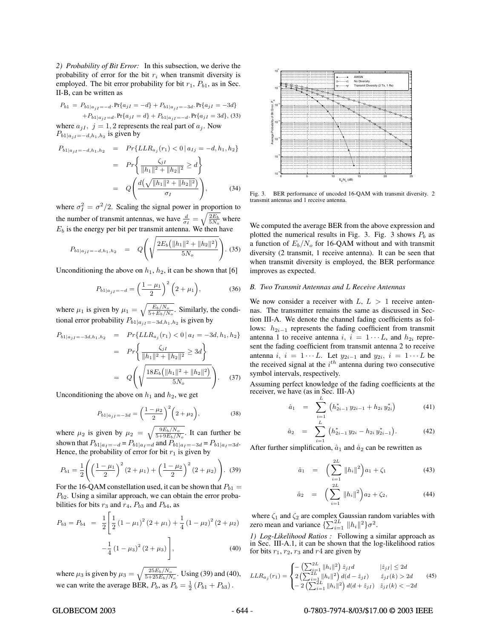2) Probability of Bit Error: In this subsection, we derive the probability of error for the bit  $r_i$  when transmit diversity is employed. The bit error probability for bit  $r_1$ ,  $P_{b1}$ , as in Sec. II-B,can be written as

$$
P_{b1} = P_{b1|a_jI} = -d \cdot Pr\{a_{jI} = -d\} + P_{b1|a_jI} = -3d \cdot Pr\{a_{jI} = -3d\}
$$
  
+ 
$$
P_{b1|a_jI} = d \cdot Pr\{a_{jI} = d\} + P_{b1|a_jI} = -d \cdot Pr\{a_{jI} = 3d\},
$$
 (33)  
where  $a_{jI}$ ,  $j = 1, 2$  represents the real part of  $a_j$ . Now  

$$
P_{b1|a_jI} = -d, h_1, h_2
$$
 is given by

$$
P_{b1|a_{jI}=-d,h_{1},h_{2}} = Pr\{LLR_{a_{j}}(r_{1}) < 0 | a_{Ij} = -d, h_{1}, h_{2}\}
$$
  

$$
= Pr\{\frac{\zeta_{jI}}{\|h_{1}\|^{2} + \|h_{2}\|^{2}} \geq d\}
$$
  

$$
= Q\left(\frac{d(\sqrt{\|h_{1}\|^{2} + \|h_{2}\|^{2}})}{\sigma_{I}}\right),
$$
 (34)

where  $\sigma_l^2 = \sigma^2/2$ . Scaling the signal power in proportion to the number of transmit antennas, we have  $\frac{d}{\sigma_I} =$  $\sqrt{\frac{2E_b}{5N_o}}$  where  $E<sub>b</sub>$  is the energy per bit per transmit antenna. We then have

$$
P_{b1|a_{jI}=-d,h_1,h_2} = Q\left(\sqrt{\frac{2E_b\left(\|h_1\|^2 + \|h_2\|^2\right)}{5N_o}}\right).
$$
 (35)

Unconditioning the above on  $h_1$ ,  $h_2$ , it can be shown that [6]

$$
P_{b1|a_{jI}=-d} = \left(\frac{1-\mu_1}{2}\right)^2 \left(2+\mu_1\right),\tag{36}
$$

where  $\mu_1$  is given by  $\mu_1 = \sqrt{\frac{E_b/N_o}{5+E_b/N_o}}$ . Similarly, the conditional arrangements in  $P$ tional error probability  $P_{b1|a_{j}I=-3d,h_1,h_2}$  is given by

$$
P_{b1|a_{jI}=-3d,h_{1},h_{2}} = Pr\{LLR_{a_{j}}(r_{1}) < 0 | a_{I} = -3d, h_{1}, h_{2}\}
$$
  

$$
= Pr\left\{\frac{\zeta_{jI}}{\|h_{1}\|^{2} + \|h_{2}\|^{2}} \geq 3d\right\}
$$
  

$$
= Q\left(\sqrt{\frac{18E_{b}(\|h_{1}\|^{2} + \|h_{2}\|^{2})}{5N_{o}}}\right).
$$
 (37)

Unconditioning the above on  $h_1$  and  $h_2$ , we get

$$
P_{b1|a_{jI}=-3d} = \left(\frac{1-\mu_2}{2}\right)^2 \left(2+\mu_2\right),\tag{38}
$$

where  $\mu_2$  is given by  $\mu_2 = \sqrt{\frac{9E_b/N_o}{5+9E_b/N_o}}$ . It can further be shown that  $P_{b1|a_1=-d} = P_{b1|a_1=d}$  and  $P_{b1|a_1=-3d} = P_{b1|a_1=3d}$ . Hence, the probability of error for bit  $r_1$  is given by

$$
P_{b1} = \frac{1}{2} \left( \left( \frac{1 - \mu_1}{2} \right)^2 (2 + \mu_1) + \left( \frac{1 - \mu_2}{2} \right)^2 (2 + \mu_2) \right). \tag{39}
$$

For the 16-QAM constellation used, it can be shown that  $P_{b1}$  =  $P_{b2}$ . Using a similar approach, we can obtain the error probabilities for bits  $r_3$  and  $r_4$ ,  $P_{b3}$  and  $P_{b4}$ , as

$$
P_{b3} = P_{b4} = \frac{1}{2} \left[ \frac{1}{2} \left( 1 - \mu_1 \right)^2 (2 + \mu_1) + \frac{1}{4} \left( 1 - \mu_2 \right)^2 (2 + \mu_2) - \frac{1}{4} \left( 1 - \mu_3 \right)^2 (2 + \mu_3) \right],
$$
\n(40)

where  $\mu_3$  is given by  $\mu_3 = \sqrt{\frac{25E_b/N_o}{5+25E_b/N_o}}$ . Using (39) and (40), we can write the average BER,  $P_b$ , as  $P_b = \frac{1}{2} (P_{b1} + P_{b3})$ .



Fig. 3. BER performance of uncoded 16-QAM with transmit diversity. 2 transmit antennas and 1 receive antenna.

We computed the average BER from the above expression and plotted the numerical results in Fig. 3. Fig. 3 shows  $P_b$  as a function of  $E_b/N_o$  for 16-QAM without and with transmit diversity (2 transmit, 1 receive antenna). It can be seen that when transmit diversity is employed, the BER performance improves as expected.

# *B. Two Transmit Antennas and* L *Receive Antennas*

We now consider a receiver with  $L, L > 1$  receive antennas. The transmitter remains the same as discussed in Section III-A. We denote the channel fading coefficients as follows:  $h_{2i-1}$  represents the fading coefficient from transmit antenna 1 to receive antenna i,  $i = 1 \cdots L$ , and  $h_{2i}$  represent the fading coefficient from transmit antenna 2 to receive antenna i,  $i = 1 \cdots L$ . Let  $y_{2i-1}$  and  $y_{2i}$ ,  $i = 1 \cdots L$  be the received signal at the  $i^{th}$  antenna during two consecutive symbol intervals, respectively.

Assuming perfect knowledge of the fading coefficients at the receiver, we have (as in Sec. III-A)

$$
\hat{a}_1 = \sum_{i=1}^{L} \left( h_{2i-1}^* y_{2i-1} + h_{2i} y_{2i}^* \right) \tag{41}
$$

$$
\hat{a}_2 = \sum_{i=1}^{L} \left( h_{2i-1}^* y_{2i} - h_{2i} y_{2i-1}^* \right). \tag{42}
$$

After further simplification,  $\hat{a}_1$  and  $\hat{a}_2$  can be rewritten as

$$
\hat{a}_1 = \left(\sum_{i=1}^{2L} ||h_i||^2\right) a_1 + \zeta_1 \tag{43}
$$

$$
\hat{a}_2 = \left(\sum_{i=1}^{2L} ||h_i||^2\right) a_2 + \zeta_2, \tag{44}
$$

where  $\zeta_1$  and  $\zeta_2$  are complex Gaussian random variables with zero mean and variance  $\{\sum_{i=1}^{2L} ||h_i||^2\} \sigma^2$ .

*1) Log-Likelihood Ratios :* Following a similar approach as in Sec. III-A.1, it can be shown that the log-likelihood ratios for bits  $r_1$ ,  $r_2$ ,  $r_3$  and  $r_4$  are given by

$$
LLR_{a_j}(r_1) = \begin{cases} -\left(\sum_{i=1}^{2L} ||h_i||^2\right) \hat{z}_{jI}d & |\hat{z}_{jI}| \le 2d\\ 2\left(\sum_{i=1}^{2L} ||h_i||^2\right) d(d-\hat{z}_{jI}) & \hat{z}_{jI}(k) > 2d\\ -2\left(\sum_{i=1}^{2L} ||h_i||^2\right) d(d+\hat{z}_{jI}) & \hat{z}_{jI}(k) < -2d \end{cases}
$$
(45)

## GLOBECOM 2003 - 644 - 0-7803-7974-8/03/\$17.00 © 2003 IEEE